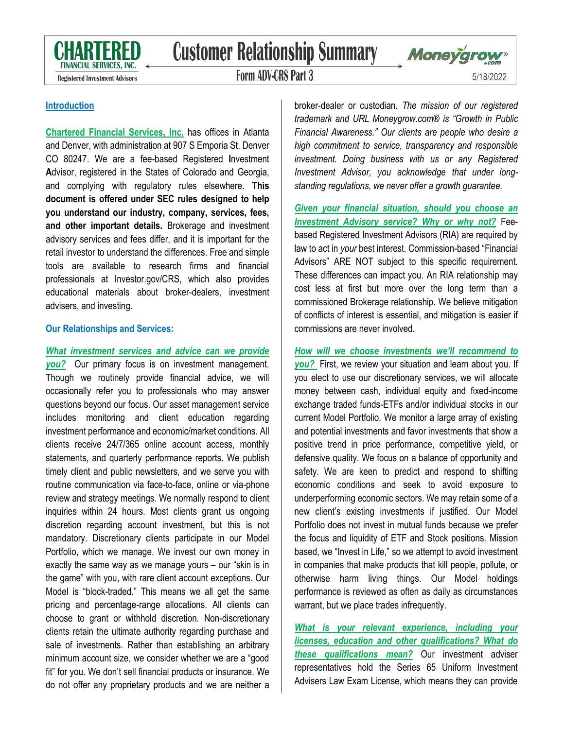

# **Customer Relationship Summary**

**Registered Investment Advisors** 

**Form ADV-CRS Part 3** 



5/18/2022

### **Introduction**

**Chartered Financial Services, Inc.** has offices in Atlanta and Denver, with administration at 907 S Emporia St. Denver CO 80247. We are a fee-based Registered **I**nvestment **A**dvisor, registered in the States of Colorado and Georgia, and complying with regulatory rules elsewhere. **This document is offered under SEC rules designed to help you understand our industry, company, services, fees, and other important details.** Brokerage and investment advisory services and fees differ, and it is important for the retail investor to understand the differences. Free and simple tools are available to research firms and financial professionals at Investor.gov/CRS, which also provides educational materials about broker-dealers, investment advisers, and investing.

#### **Our Relationships and Services:**

#### *What investment services and advice can we provide*

*you?*Our primary focus is on investment management. Though we routinely provide financial advice, we will occasionally refer you to professionals who may answer questions beyond our focus. Our asset management service includes monitoring and client education regarding investment performance and economic/market conditions. All clients receive 24/7/365 online account access, monthly statements, and quarterly performance reports. We publish timely client and public newsletters, and we serve you with routine communication via face-to-face, online or via-phone review and strategy meetings. We normally respond to client inquiries within 24 hours. Most clients grant us ongoing discretion regarding account investment, but this is not mandatory. Discretionary clients participate in our Model Portfolio, which we manage. We invest our own money in exactly the same way as we manage yours – our "skin is in the game" with you, with rare client account exceptions. Our Model is "block-traded." This means we all get the same pricing and percentage-range allocations. All clients can choose to grant or withhold discretion. Non-discretionary clients retain the ultimate authority regarding purchase and sale of investments. Rather than establishing an arbitrary minimum account size, we consider whether we are a "good fit" for you. We don't sell financial products or insurance. We do not offer any proprietary products and we are neither a

broker-dealer or custodian. *The mission of our registered trademark and URL Moneygrow.com® is "Growth in Public Financial Awareness." Our clients are people who desire a high commitment to service, transparency and responsible investment. Doing business with us or any Registered Investment Advisor, you acknowledge that under longstanding regulations, we never offer a growth guarantee.*

*Given your financial situation, should you choose an Investment Advisory service? Why or why not?* Feebased Registered Investment Advisors (RIA) are required by law to act in *your* best interest. Commission-based "Financial Advisors" ARE NOT subject to this specific requirement. These differences can impact you. An RIA relationship may cost less at first but more over the long term than a commissioned Brokerage relationship. We believe mitigation of conflicts of interest is essential, and mitigation is easier if commissions are never involved.

## *How will we choose investments we'll recommend to you?* First, we review your situation and learn about you. If you elect to use our discretionary services, we will allocate money between cash, individual equity and fixed-income exchange traded funds-ETFs and/or individual stocks in our current Model Portfolio. We monitor a large array of existing and potential investments and favor investments that show a positive trend in price performance, competitive yield, or defensive quality. We focus on a balance of opportunity and safety. We are keen to predict and respond to shifting economic conditions and seek to avoid exposure to underperforming economic sectors. We may retain some of a new client's existing investments if justified. Our Model Portfolio does not invest in mutual funds because we prefer the focus and liquidity of ETF and Stock positions. Mission based, we "Invest in Life," so we attempt to avoid investment in companies that make products that kill people, pollute, or otherwise harm living things. Our Model holdings

performance is reviewed as often as daily as circumstances warrant, but we place trades infrequently. *What is your relevant experience, including your licenses, education and other qualifications? What do these qualifications mean?* Our investment adviser

representatives hold the Series 65 Uniform Investment Advisers Law Exam License, which means they can provide